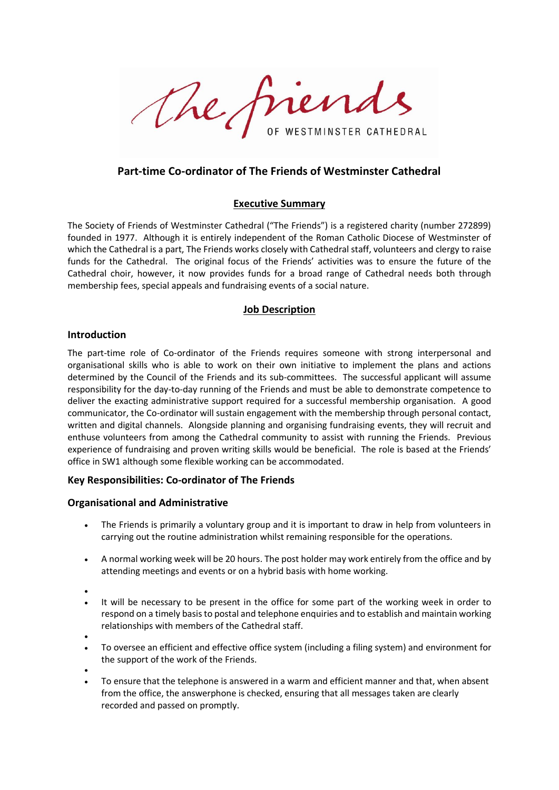The friends WESTMINSTER CATHEDRAL

# **Part-time Co-ordinator of The Friends of Westminster Cathedral**

## **Executive Summary**

The Society of Friends of Westminster Cathedral ("The Friends") is a registered charity (number 272899) founded in 1977. Although it is entirely independent of the Roman Catholic Diocese of Westminster of which the Cathedral is a part, The Friends works closely with Cathedral staff, volunteers and clergy to raise funds for the Cathedral. The original focus of the Friends' activities was to ensure the future of the Cathedral choir, however, it now provides funds for a broad range of Cathedral needs both through membership fees, special appeals and fundraising events of a social nature.

## **Job Description**

## **Introduction**

The part-time role of Co-ordinator of the Friends requires someone with strong interpersonal and organisational skills who is able to work on their own initiative to implement the plans and actions determined by the Council of the Friends and its sub-committees. The successful applicant will assume responsibility for the day-to-day running of the Friends and must be able to demonstrate competence to deliver the exacting administrative support required for a successful membership organisation. A good communicator, the Co-ordinator will sustain engagement with the membership through personal contact, written and digital channels. Alongside planning and organising fundraising events, they will recruit and enthuse volunteers from among the Cathedral community to assist with running the Friends. Previous experience of fundraising and proven writing skills would be beneficial. The role is based at the Friends' office in SW1 although some flexible working can be accommodated.

# **Key Responsibilities: Co-ordinator of The Friends**

## **Organisational and Administrative**

- The Friends is primarily a voluntary group and it is important to draw in help from volunteers in carrying out the routine administration whilst remaining responsible for the operations.
- A normal working week will be 20 hours. The post holder may work entirely from the office and by attending meetings and events or on a hybrid basis with home working.
- •
- It will be necessary to be present in the office for some part of the working week in order to respond on a timely basis to postal and telephone enquiries and to establish and maintain working relationships with members of the Cathedral staff.
- •
- To oversee an efficient and effective office system (including a filing system) and environment for the support of the work of the Friends.
- •
- To ensure that the telephone is answered in a warm and efficient manner and that, when absent from the office, the answerphone is checked, ensuring that all messages taken are clearly recorded and passed on promptly.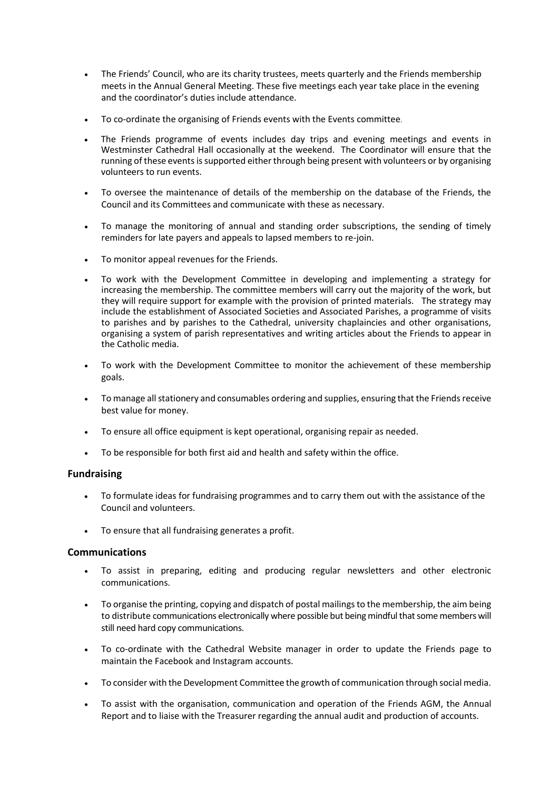- The Friends' Council, who are its charity trustees, meets quarterly and the Friends membership meets in the Annual General Meeting. These five meetings each year take place in the evening and the coordinator's duties include attendance.
- To co-ordinate the organising of Friends events with the Events committee.
- The Friends programme of events includes day trips and evening meetings and events in Westminster Cathedral Hall occasionally at the weekend. The Coordinator will ensure that the running of these events is supported either through being present with volunteers or by organising volunteers to run events.
- To oversee the maintenance of details of the membership on the database of the Friends, the Council and its Committees and communicate with these as necessary.
- To manage the monitoring of annual and standing order subscriptions, the sending of timely reminders for late payers and appeals to lapsed members to re-join.
- To monitor appeal revenues for the Friends.
- To work with the Development Committee in developing and implementing a strategy for increasing the membership. The committee members will carry out the majority of the work, but they will require support for example with the provision of printed materials. The strategy may include the establishment of Associated Societies and Associated Parishes, a programme of visits to parishes and by parishes to the Cathedral, university chaplaincies and other organisations, organising a system of parish representatives and writing articles about the Friends to appear in the Catholic media.
- To work with the Development Committee to monitor the achievement of these membership goals.
- To manage all stationery and consumables ordering and supplies, ensuring that the Friends receive best value for money.
- To ensure all office equipment is kept operational, organising repair as needed.
- To be responsible for both first aid and health and safety within the office.

## **Fundraising**

- To formulate ideas for fundraising programmes and to carry them out with the assistance of the Council and volunteers.
- To ensure that all fundraising generates a profit.

# **Communications**

- To assist in preparing, editing and producing regular newsletters and other electronic communications.
- To organise the printing, copying and dispatch of postal mailings to the membership, the aim being to distribute communications electronically where possible but being mindful that some members will still need hard copy communications.
- To co-ordinate with the Cathedral Website manager in order to update the Friends page to maintain the Facebook and Instagram accounts.
- To consider with the Development Committee the growth of communication through social media.
- To assist with the organisation, communication and operation of the Friends AGM, the Annual Report and to liaise with the Treasurer regarding the annual audit and production of accounts.